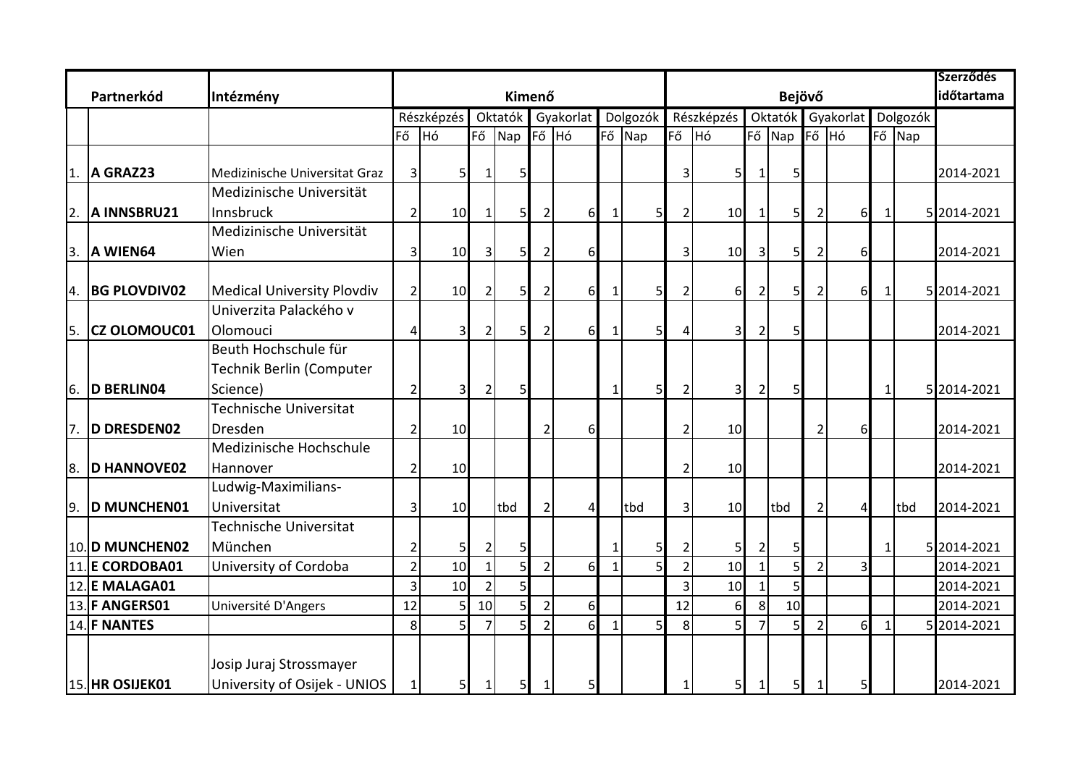|                  |                        |                                   |                 |                 |                 |                |                |           |              |                |                |                | <b>Szerződés</b> |                |                   |          |              |        |             |
|------------------|------------------------|-----------------------------------|-----------------|-----------------|-----------------|----------------|----------------|-----------|--------------|----------------|----------------|----------------|------------------|----------------|-------------------|----------|--------------|--------|-------------|
|                  | Partnerkód             |                                   |                 |                 | Kimenő          |                |                |           |              |                |                | időtartama     |                  |                |                   |          |              |        |             |
|                  |                        |                                   |                 | Részképzés      |                 | Oktatók        |                | Gyakorlat | Dolgozók     |                | Részképzés     |                |                  |                | Oktatók Gyakorlat |          | Dolgozók     |        |             |
|                  |                        |                                   | Fő              | $H$ ó           |                 | Fő Nap         | Fő Hó          |           |              | Fő Nap         | Fő             | <b>H</b> ó     |                  | Fő Nap         |                   | Fő Hó    |              | Fő Nap |             |
|                  |                        |                                   |                 |                 |                 |                |                |           |              |                |                |                |                  |                |                   |          |              |        |             |
| ۱1.              | A GRAZ23               | Medizinische Universitat Graz     | $\vert 3 \vert$ | 5 <sub>l</sub>  | 1               | 5 <sub>l</sub> |                |           |              |                | 3              | 5 <sub>l</sub> | 1                | 5              |                   |          |              |        | 2014-2021   |
|                  |                        | Medizinische Universität          |                 |                 |                 |                |                |           |              |                |                |                |                  |                |                   |          |              |        |             |
| $\overline{2}$ . | A INNSBRU21            | Innsbruck                         | $\overline{2}$  | 10 <sup>1</sup> | $\mathbf{1}$    | 5 <sub>l</sub> |                | 61        | 1            | 5 <sub>l</sub> | 2              | 10             | 1                | 5              | $\overline{2}$    | 6        | 1            |        | 5 2014-2021 |
|                  |                        | Medizinische Universität          |                 |                 |                 |                |                |           |              |                |                |                |                  |                |                   |          |              |        |             |
| 3.               | A WIEN64               | Wien                              | $\overline{3}$  | 10              | 3 <sup>1</sup>  | 5 <sub>l</sub> |                | $6 \mid$  |              |                | 3              | 10             | $\overline{3}$   | 5 <sub>l</sub> | $\overline{2}$    | $6 \mid$ |              |        | 2014-2021   |
|                  |                        |                                   |                 |                 |                 |                |                |           |              |                |                |                |                  |                |                   |          |              |        |             |
| 4.               | <b>BG PLOVDIV02</b>    | <b>Medical University Plovdiv</b> | $\overline{2}$  | 10              | $\overline{2}$  | 5 <sub>l</sub> |                | $6 \mid$  | $\mathbf{1}$ | 5              |                | $6 \mid$       | $\overline{2}$   | 5              | $\overline{2}$    | $6 \mid$ | $\mathbf 1$  |        | 5 2014-2021 |
|                  |                        | Univerzita Palackého v            |                 |                 |                 |                |                |           |              |                |                |                |                  |                |                   |          |              |        |             |
| l5.              | <b>CZ OLOMOUC01</b>    | Olomouci                          | 4               | 31              | 2               | 5 <sub>l</sub> |                | $6 \mid$  | $\mathbf{1}$ | 5 <sup>1</sup> |                | 31             | $\overline{2}$   | 5              |                   |          |              |        | 2014-2021   |
|                  |                        | Beuth Hochschule für              |                 |                 |                 |                |                |           |              |                |                |                |                  |                |                   |          |              |        |             |
|                  |                        | Technik Berlin (Computer          |                 |                 |                 |                |                |           |              |                |                |                |                  |                |                   |          |              |        |             |
| 6.               | <b>D BERLINO4</b>      | Science)                          | $\overline{2}$  | 3 <sub>l</sub>  | 2               | 5 <sub>l</sub> |                |           | $\mathbf{1}$ | 5 <sub>l</sub> | 2              | 3 <sup>l</sup> | $\overline{2}$   | 5              |                   |          | $\mathbf{1}$ |        | 5 2014-2021 |
|                  |                        | <b>Technische Universitat</b>     |                 |                 |                 |                |                |           |              |                |                |                |                  |                |                   |          |              |        |             |
| 7.               | <b>D DRESDEN02</b>     | Dresden                           | 2               | 10              |                 |                |                | 6         |              |                | 2              | 10             |                  |                | 2                 | 6        |              |        | 2014-2021   |
|                  |                        | Medizinische Hochschule           |                 |                 |                 |                |                |           |              |                |                |                |                  |                |                   |          |              |        |             |
| 8.               | <b>D HANNOVE02</b>     | Hannover                          | $\overline{2}$  | 10              |                 |                |                |           |              |                | 2              | 10             |                  |                |                   |          |              |        | 2014-2021   |
|                  |                        | Ludwig-Maximilians-               |                 |                 |                 |                |                |           |              |                |                |                |                  |                |                   |          |              |        |             |
| 9.               | <b>D MUNCHEN01</b>     | Universitat                       | 3               | 10              |                 | tbd            |                | Δ         |              | tbd            | 3              | 10             |                  | tbd            | $\overline{2}$    | $\Delta$ |              | tbd    | 2014-2021   |
|                  |                        | <b>Technische Universitat</b>     |                 |                 |                 |                |                |           |              |                |                |                |                  |                |                   |          |              |        |             |
|                  | 10. D MUNCHEN02        | München                           | 2               | 5 <sub>l</sub>  | 2               | 5              |                |           | $\mathbf{1}$ | 5              |                | 5 <sub>l</sub> |                  | 5              |                   |          | $\mathbf{1}$ |        | 5 2014-2021 |
|                  | <b>11. E CORDOBA01</b> | University of Cordoba             | $\overline{2}$  | 10              | $\mathbf{1}$    | 5 <sub>l</sub> |                | $6 \mid$  | $\mathbf{1}$ | 5              | $\overline{2}$ | 10             | 1                | 5              | $\overline{2}$    |          |              |        | 2014-2021   |
|                  | 12. E MALAGA01         |                                   | 3               | 10              | $\overline{2}$  | $\mathsf{S}$   |                |           |              |                | 3              | 10             | 1                | 5              |                   |          |              |        | 2014-2021   |
|                  | 13. F ANGERS01         | Université D'Angers               | 12              |                 | 10 <sup>1</sup> | 5              |                | $6 \mid$  |              |                | 12             | $6 \mid$       | 8 <sup>1</sup>   | 10             |                   |          |              |        | 2014-2021   |
|                  | 14. F NANTES           |                                   | 8               | 5               | $\overline{7}$  | $\mathsf{S}$   | $\overline{2}$ | $6 \mid$  | $\mathbf{1}$ | 5              | 8 <sup>1</sup> | 5              | $\overline{7}$   | 5              | $\overline{2}$    | $6 \mid$ | $\mathbf{1}$ |        | 5 2014-2021 |
|                  |                        |                                   |                 |                 |                 |                |                |           |              |                |                |                |                  |                |                   |          |              |        |             |
|                  |                        | Josip Juraj Strossmayer           |                 |                 |                 |                |                |           |              |                |                |                |                  |                |                   |          |              |        |             |
|                  | 15. HR OSIJEK01        | University of Osijek - UNIOS      | 1               | $5 \mid$        | $\mathbf 1$     | 5 <sub>l</sub> |                |           |              |                |                | 5 <sub>l</sub> | $\mathbf{1}$     | 5 <sub>l</sub> |                   |          |              |        | 2014-2021   |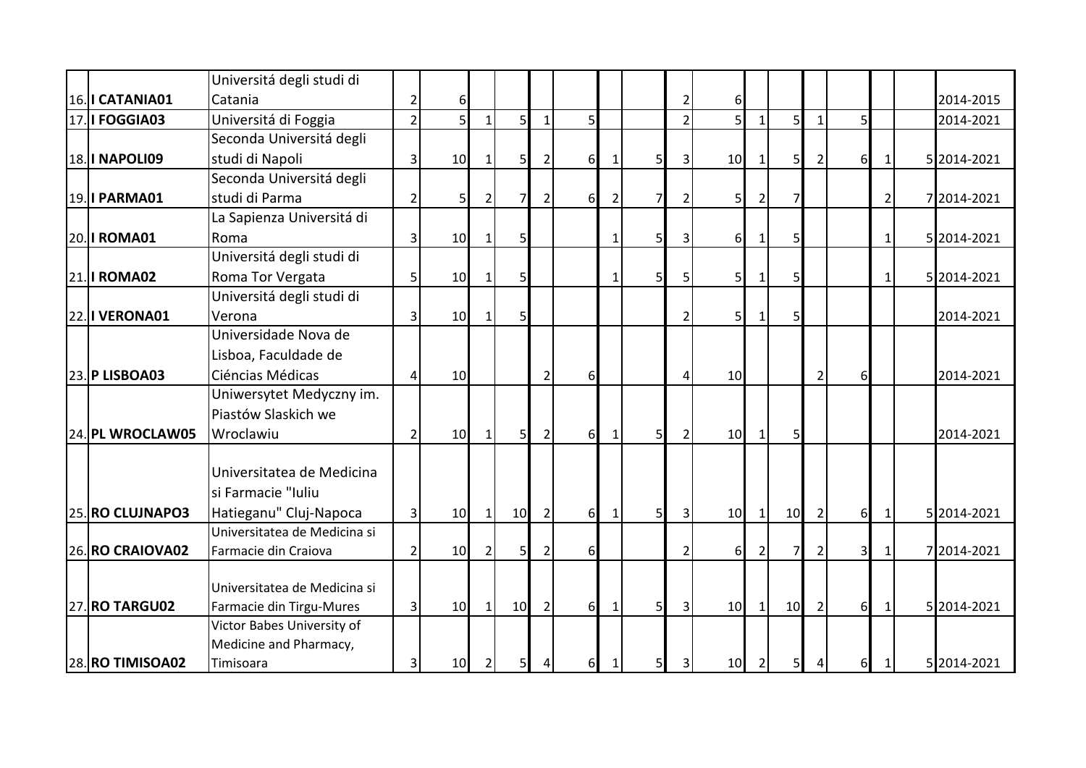|                       | Universitá degli studi di                            |                |                |                |                |                |                |                |                |                |                |                |                |                |                  |                |             |
|-----------------------|------------------------------------------------------|----------------|----------------|----------------|----------------|----------------|----------------|----------------|----------------|----------------|----------------|----------------|----------------|----------------|------------------|----------------|-------------|
| 16. I CATANIA01       | Catania                                              |                | 6              |                |                |                |                |                |                |                | 6              |                |                |                |                  |                | 2014-2015   |
| <b>17. I FOGGIA03</b> | Universitá di Foggia                                 | $\overline{2}$ | 5 <sup>1</sup> | $\mathbf{1}$   | 5 <sub>l</sub> | 1 <sup>1</sup> | 5 <sup>1</sup> |                |                | $\overline{2}$ | 5 <sup>1</sup> | $\mathbf{1}$   | 5 <sup>1</sup> |                | 51               |                | 2014-2021   |
|                       | Seconda Universitá degli                             |                |                |                |                |                |                |                |                |                |                |                |                |                |                  |                |             |
| <b>18. I NAPOLI09</b> | studi di Napoli                                      | $\vert$ 3      | 10             | 1              | 5              | $\overline{2}$ | $6 \mid$       |                | 5              | 3              | 10             | $\mathbf{1}$   | 5 <sub>l</sub> |                | 6                | $\mathbf{1}$   | 5 2014-2021 |
|                       | Seconda Universitá degli                             |                |                |                |                |                |                |                |                |                |                |                |                |                |                  |                |             |
| 19. I PARMA01         | studi di Parma                                       | $\overline{2}$ | 5 <sub>l</sub> | $\overline{2}$ | $\overline{7}$ | $\overline{2}$ | $6 \mid$       | $\overline{2}$ | 7              | 2              | 51             |                | 7              |                |                  | $\overline{2}$ | 7 2014-2021 |
|                       | La Sapienza Universitá di                            |                |                |                |                |                |                |                |                |                |                |                |                |                |                  |                |             |
| 20. I ROMA01          | Roma                                                 | 3              | 10             | 1              | $\mathsf{S}$   |                |                |                | 5              | 3              | $6 \mid$       | $\mathbf{1}$   | 5              |                |                  | 1              | 5 2014-2021 |
|                       | Universitá degli studi di                            |                |                |                |                |                |                |                |                |                |                |                |                |                |                  |                |             |
| <b>21. I ROMA02</b>   | Roma Tor Vergata                                     | 5 <sup>1</sup> | 10             | $\mathbf{1}$   | 5 <sub>l</sub> |                |                | -1             | 5              | 5              | 5 <sub>l</sub> | $\mathbf{1}$   | $\mathsf{S}$   |                |                  | $\mathbf{1}$   | 5 2014-2021 |
|                       | Universitá degli studi di                            |                |                |                |                |                |                |                |                |                |                |                |                |                |                  |                |             |
| <b>22. I VERONA01</b> | Verona                                               | $\overline{3}$ | 10             | -1             | 5 <sup>1</sup> |                |                |                |                | $\overline{2}$ | 5 <sub>l</sub> | 1              | $\mathsf{S}$   |                |                  |                | 2014-2021   |
|                       | Universidade Nova de                                 |                |                |                |                |                |                |                |                |                |                |                |                |                |                  |                |             |
|                       | Lisboa, Faculdade de                                 |                |                |                |                |                |                |                |                |                |                |                |                |                |                  |                |             |
| 23. P LISBOA03        | Ciéncias Médicas                                     |                | 10             |                |                | $\overline{2}$ | 6              |                |                | 4              | 10             |                |                | 2              | $6 \overline{6}$ |                | 2014-2021   |
|                       | Uniwersytet Medyczny im.                             |                |                |                |                |                |                |                |                |                |                |                |                |                |                  |                |             |
|                       | Piastów Slaskich we                                  |                |                |                |                |                |                |                |                |                |                |                |                |                |                  |                |             |
| 24. PL WROCLAW05      | Wroclawiu                                            |                | 10             | $\mathbf{1}$   | 5Ι             | $\overline{2}$ | 6              | $\mathbf 1$    | 5              | $\overline{2}$ | 10             | $\mathbf{1}$   | 5 <sub>l</sub> |                |                  |                | 2014-2021   |
|                       |                                                      |                |                |                |                |                |                |                |                |                |                |                |                |                |                  |                |             |
|                       | Universitatea de Medicina                            |                |                |                |                |                |                |                |                |                |                |                |                |                |                  |                |             |
|                       | si Farmacie "Iuliu                                   |                |                |                |                |                |                |                |                |                |                |                |                |                |                  |                |             |
| 25. RO CLUJNAPO3      | Hatieganu" Cluj-Napoca                               | $\overline{3}$ | 10             | $\mathbf{1}$   | 10             | $\overline{2}$ | $6 \mid$       | $\mathbf{1}$   | 5 <sup>1</sup> | 3              | 10             | $\mathbf{1}$   | 10             | 2              | 6                | $\mathbf{1}$   | 5 2014-2021 |
| 26.RO CRAIOVA02       | Universitatea de Medicina si<br>Farmacie din Craiova |                | 10             |                |                |                | $6 \mid$       |                |                | $\overline{2}$ |                |                |                | 2              | 3 <sup>l</sup>   | 1              | 7 2014-2021 |
|                       |                                                      | $\overline{2}$ |                | $\overline{2}$ | 5 <sub>l</sub> | $\overline{2}$ |                |                |                |                | $6 \mid$       | $\overline{2}$ | 7              |                |                  |                |             |
|                       | Universitatea de Medicina si                         |                |                |                |                |                |                |                |                |                |                |                |                |                |                  |                |             |
| <b>27. RO TARGU02</b> | Farmacie din Tirgu-Mures                             | $\overline{3}$ | 10             | 1              | 10             | $\overline{2}$ | 6              | -1             | 5 <sup>1</sup> | $\overline{3}$ | 10             | 1              | 10             | $\overline{2}$ | 6                | $1\,$          | 5 2014-2021 |
|                       | Victor Babes University of                           |                |                |                |                |                |                |                |                |                |                |                |                |                |                  |                |             |
|                       | Medicine and Pharmacy,                               |                |                |                |                |                |                |                |                |                |                |                |                |                |                  |                |             |
| 28. RO TIMISOA02      | Timisoara                                            | 3 <sup>1</sup> | 10             | $\overline{2}$ | 5 <sub>l</sub> | $\frac{4}{ }$  | 6              | 1              | 5 <sub>l</sub> | 3 <sup>1</sup> | 10             | $\overline{2}$ | 5 <sub>l</sub> | $\vert$        | 6                | $\mathbf{1}$   | 5 2014-2021 |